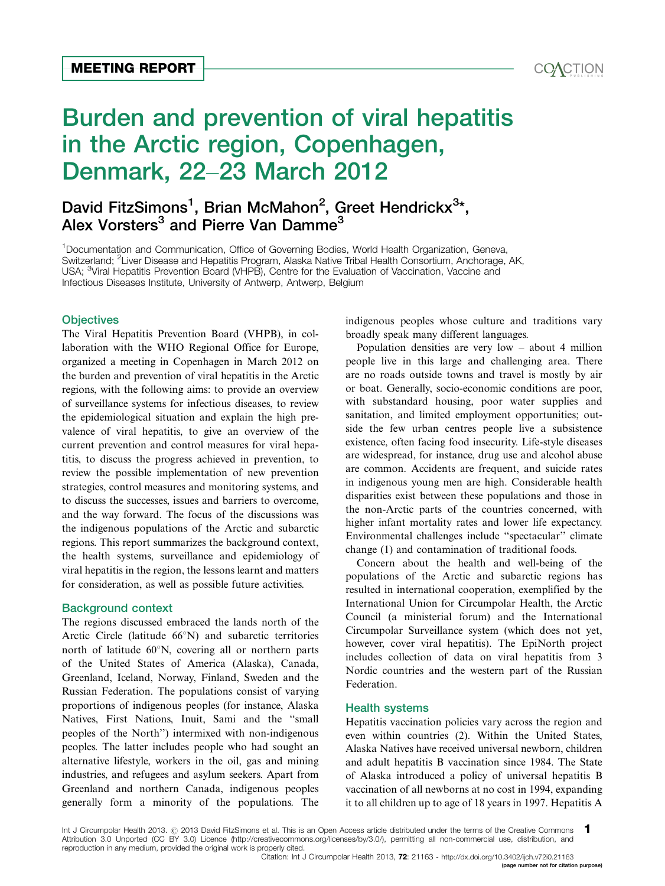# Burden and prevention of viral hepatitis in the Arctic region, Copenhagen, Denmark, 22-23 March 2012 MEETING REPORT<br>Burden and prevention of viral hepatitis<br>in the Arctic region, Copenhagen,<br>Denmark, 22–23 March 2012

# David FitzSimons<sup>1</sup>, Brian McMahon<sup>2</sup>, Greet Hendrickx<sup>3\*</sup>, Alex Vorsters<sup>3</sup> and Pierre Van Damme<sup>3</sup>

<sup>1</sup>Documentation and Communication, Office of Governing Bodies, World Health Organization, Geneva, Switzerland; <sup>2</sup> Liver Disease and Hepatitis Program, Alaska Native Tribal Health Consortium, Anchorage, AK, USA; <sup>3</sup>Viral Hepatitis Prevention Board (VHPB), Centre for the Evaluation of Vaccination, Vaccine and Infectious Diseases Institute, University of Antwerp, Antwerp, Belgium

# **Objectives**

The Viral Hepatitis Prevention Board (VHPB), in collaboration with the WHO Regional Office for Europe, organized a meeting in Copenhagen in March 2012 on the burden and prevention of viral hepatitis in the Arctic regions, with the following aims: to provide an overview of surveillance systems for infectious diseases, to review the epidemiological situation and explain the high prevalence of viral hepatitis, to give an overview of the current prevention and control measures for viral hepatitis, to discuss the progress achieved in prevention, to review the possible implementation of new prevention strategies, control measures and monitoring systems, and to discuss the successes, issues and barriers to overcome, and the way forward. The focus of the discussions was the indigenous populations of the Arctic and subarctic regions. This report summarizes the background context, the health systems, surveillance and epidemiology of viral hepatitis in the region, the lessons learnt and matters for consideration, as well as possible future activities.

### Background context

The regions discussed embraced the lands north of the Arctic Circle (latitude  $66^{\circ}$ N) and subarctic territories north of latitude  $60^{\circ}$ N, covering all or northern parts of the United States of America (Alaska), Canada, Greenland, Iceland, Norway, Finland, Sweden and the Russian Federation. The populations consist of varying proportions of indigenous peoples (for instance, Alaska Natives, First Nations, Inuit, Sami and the ''small peoples of the North'') intermixed with non-indigenous peoples. The latter includes people who had sought an alternative lifestyle, workers in the oil, gas and mining industries, and refugees and asylum seekers. Apart from Greenland and northern Canada, indigenous peoples generally form a minority of the populations. The

indigenous peoples whose culture and traditions vary broadly speak many different languages.

Population densities are very low - about 4 million people live in this large and challenging area. There are no roads outside towns and travel is mostly by air or boat. Generally, socio-economic conditions are poor, with substandard housing, poor water supplies and sanitation, and limited employment opportunities; outside the few urban centres people live a subsistence existence, often facing food insecurity. Life-style diseases are widespread, for instance, drug use and alcohol abuse are common. Accidents are frequent, and suicide rates in indigenous young men are high. Considerable health disparities exist between these populations and those in the non-Arctic parts of the countries concerned, with higher infant mortality rates and lower life expectancy. Environmental challenges include ''spectacular'' climate change (1) and contamination of traditional foods.

Concern about the health and well-being of the populations of the Arctic and subarctic regions has resulted in international cooperation, exemplified by the International Union for Circumpolar Health, the Arctic Council (a ministerial forum) and the International Circumpolar Surveillance system (which does not yet, however, cover viral hepatitis). The EpiNorth project includes collection of data on viral hepatitis from 3 Nordic countries and the western part of the Russian Federation.

# Health systems

Hepatitis vaccination policies vary across the region and even within countries (2). Within the United States, Alaska Natives have received universal newborn, children and adult hepatitis B vaccination since 1984. The State of Alaska introduced a policy of universal hepatitis B vaccination of all newborns at no cost in 1994, expanding it to all children up to age of 18 years in 1997. Hepatitis A

Int J Circumpolar Health 2013. @ 2013 David FitzSimons et al. This is an Open Access article distributed under the terms of the Creative Commons Attribution 3.0 Unported (CC BY 3.0) Licence (http://creativecommons.org/licenses/by/3.0/), permitting all non-commercial use, distribution, and reproduction in any medium, provided the original work is properly cited. 1 [Citation: Int J Circumpolar Health 2013,](http://www.circumpolarhealthjournal.net/index.php/ijch/article/view/21163) 72: 21163 - <http://dx.doi.org/10.3402/ijch.v72i0.21163>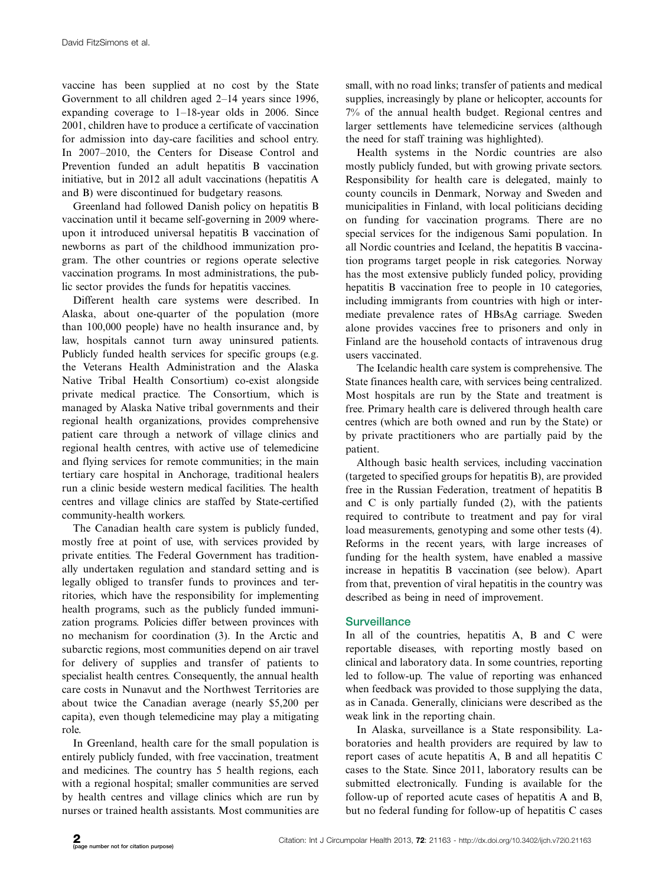vaccine has been supplied at no cost by the State Government to all children aged 2-14 years since 1996, expanding coverage to 1-18-year olds in 2006. Since 2001, children have to produce a certificate of vaccination for admission into day-care facilities and school entry. In 2007-2010, the Centers for Disease Control and Prevention funded an adult hepatitis B vaccination initiative, but in 2012 all adult vaccinations (hepatitis A and B) were discontinued for budgetary reasons.

Greenland had followed Danish policy on hepatitis B vaccination until it became self-governing in 2009 whereupon it introduced universal hepatitis B vaccination of newborns as part of the childhood immunization program. The other countries or regions operate selective vaccination programs. In most administrations, the public sector provides the funds for hepatitis vaccines.

Different health care systems were described. In Alaska, about one-quarter of the population (more than 100,000 people) have no health insurance and, by law, hospitals cannot turn away uninsured patients. Publicly funded health services for specific groups (e.g. the Veterans Health Administration and the Alaska Native Tribal Health Consortium) co-exist alongside private medical practice. The Consortium, which is managed by Alaska Native tribal governments and their regional health organizations, provides comprehensive patient care through a network of village clinics and regional health centres, with active use of telemedicine and flying services for remote communities; in the main tertiary care hospital in Anchorage, traditional healers run a clinic beside western medical facilities. The health centres and village clinics are staffed by State-certified community-health workers.

The Canadian health care system is publicly funded, mostly free at point of use, with services provided by private entities. The Federal Government has traditionally undertaken regulation and standard setting and is legally obliged to transfer funds to provinces and territories, which have the responsibility for implementing health programs, such as the publicly funded immunization programs. Policies differ between provinces with no mechanism for coordination (3). In the Arctic and subarctic regions, most communities depend on air travel for delivery of supplies and transfer of patients to specialist health centres. Consequently, the annual health care costs in Nunavut and the Northwest Territories are about twice the Canadian average (nearly \$5,200 per capita), even though telemedicine may play a mitigating role.

In Greenland, health care for the small population is entirely publicly funded, with free vaccination, treatment and medicines. The country has 5 health regions, each with a regional hospital; smaller communities are served by health centres and village clinics which are run by nurses or trained health assistants. Most communities are small, with no road links; transfer of patients and medical supplies, increasingly by plane or helicopter, accounts for 7% of the annual health budget. Regional centres and larger settlements have telemedicine services (although the need for staff training was highlighted).

Health systems in the Nordic countries are also mostly publicly funded, but with growing private sectors. Responsibility for health care is delegated, mainly to county councils in Denmark, Norway and Sweden and municipalities in Finland, with local politicians deciding on funding for vaccination programs. There are no special services for the indigenous Sami population. In all Nordic countries and Iceland, the hepatitis B vaccination programs target people in risk categories. Norway has the most extensive publicly funded policy, providing hepatitis B vaccination free to people in 10 categories, including immigrants from countries with high or intermediate prevalence rates of HBsAg carriage. Sweden alone provides vaccines free to prisoners and only in Finland are the household contacts of intravenous drug users vaccinated.

The Icelandic health care system is comprehensive. The State finances health care, with services being centralized. Most hospitals are run by the State and treatment is free. Primary health care is delivered through health care centres (which are both owned and run by the State) or by private practitioners who are partially paid by the patient.

Although basic health services, including vaccination (targeted to specified groups for hepatitis B), are provided free in the Russian Federation, treatment of hepatitis B and C is only partially funded (2), with the patients required to contribute to treatment and pay for viral load measurements, genotyping and some other tests (4). Reforms in the recent years, with large increases of funding for the health system, have enabled a massive increase in hepatitis B vaccination (see below). Apart from that, prevention of viral hepatitis in the country was described as being in need of improvement.

# **Surveillance**

In all of the countries, hepatitis A, B and C were reportable diseases, with reporting mostly based on clinical and laboratory data. In some countries, reporting led to follow-up. The value of reporting was enhanced when feedback was provided to those supplying the data, as in Canada. Generally, clinicians were described as the weak link in the reporting chain.

In Alaska, surveillance is a State responsibility. Laboratories and health providers are required by law to report cases of acute hepatitis A, B and all hepatitis C cases to the State. Since 2011, laboratory results can be submitted electronically. Funding is available for the follow-up of reported acute cases of hepatitis A and B, but no federal funding for follow-up of hepatitis C cases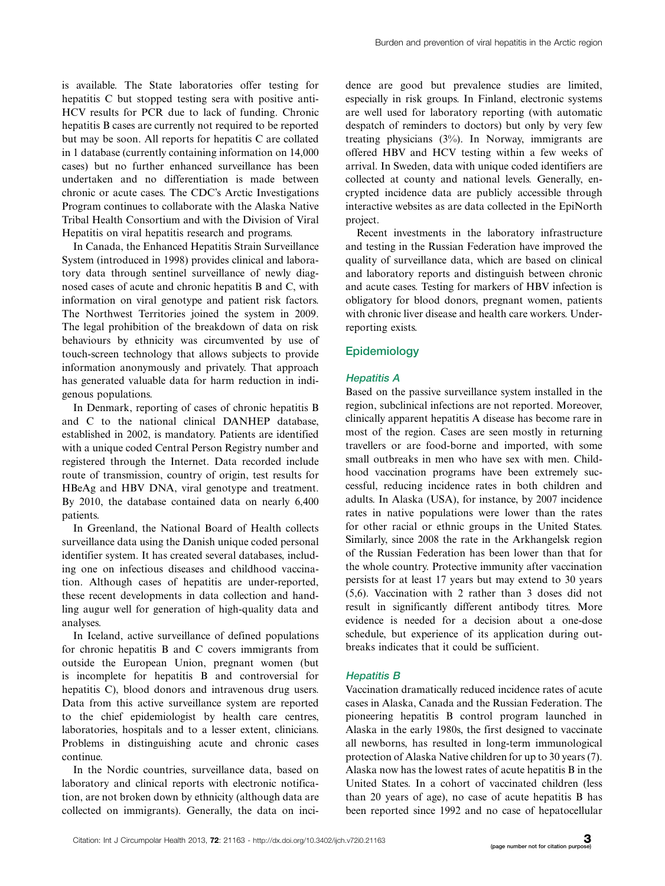is available. The State laboratories offer testing for hepatitis C but stopped testing sera with positive anti-HCV results for PCR due to lack of funding. Chronic hepatitis B cases are currently not required to be reported but may be soon. All reports for hepatitis C are collated in 1 database (currently containing information on 14,000 cases) but no further enhanced surveillance has been undertaken and no differentiation is made between chronic or acute cases. The CDC's Arctic Investigations Program continues to collaborate with the Alaska Native Tribal Health Consortium and with the Division of Viral Hepatitis on viral hepatitis research and programs.

In Canada, the Enhanced Hepatitis Strain Surveillance System (introduced in 1998) provides clinical and laboratory data through sentinel surveillance of newly diagnosed cases of acute and chronic hepatitis B and C, with information on viral genotype and patient risk factors. The Northwest Territories joined the system in 2009. The legal prohibition of the breakdown of data on risk behaviours by ethnicity was circumvented by use of touch-screen technology that allows subjects to provide information anonymously and privately. That approach has generated valuable data for harm reduction in indigenous populations.

In Denmark, reporting of cases of chronic hepatitis B and C to the national clinical DANHEP database, established in 2002, is mandatory. Patients are identified with a unique coded Central Person Registry number and registered through the Internet. Data recorded include route of transmission, country of origin, test results for HBeAg and HBV DNA, viral genotype and treatment. By 2010, the database contained data on nearly 6,400 patients.

In Greenland, the National Board of Health collects surveillance data using the Danish unique coded personal identifier system. It has created several databases, including one on infectious diseases and childhood vaccination. Although cases of hepatitis are under-reported, these recent developments in data collection and handling augur well for generation of high-quality data and analyses.

In Iceland, active surveillance of defined populations for chronic hepatitis B and C covers immigrants from outside the European Union, pregnant women (but is incomplete for hepatitis B and controversial for hepatitis C), blood donors and intravenous drug users. Data from this active surveillance system are reported to the chief epidemiologist by health care centres, laboratories, hospitals and to a lesser extent, clinicians. Problems in distinguishing acute and chronic cases continue.

In the Nordic countries, surveillance data, based on laboratory and clinical reports with electronic notification, are not broken down by ethnicity (although data are collected on immigrants). Generally, the data on incidence are good but prevalence studies are limited, especially in risk groups. In Finland, electronic systems are well used for laboratory reporting (with automatic despatch of reminders to doctors) but only by very few treating physicians (3%). In Norway, immigrants are offered HBV and HCV testing within a few weeks of arrival. In Sweden, data with unique coded identifiers are collected at county and national levels. Generally, encrypted incidence data are publicly accessible through interactive websites as are data collected in the EpiNorth project.

Recent investments in the laboratory infrastructure and testing in the Russian Federation have improved the quality of surveillance data, which are based on clinical and laboratory reports and distinguish between chronic and acute cases. Testing for markers of HBV infection is obligatory for blood donors, pregnant women, patients with chronic liver disease and health care workers. Underreporting exists.

# Epidemiology

# Hepatitis A

Based on the passive surveillance system installed in the region, subclinical infections are not reported. Moreover, clinically apparent hepatitis A disease has become rare in most of the region. Cases are seen mostly in returning travellers or are food-borne and imported, with some small outbreaks in men who have sex with men. Childhood vaccination programs have been extremely successful, reducing incidence rates in both children and adults. In Alaska (USA), for instance, by 2007 incidence rates in native populations were lower than the rates for other racial or ethnic groups in the United States. Similarly, since 2008 the rate in the Arkhangelsk region of the Russian Federation has been lower than that for the whole country. Protective immunity after vaccination persists for at least 17 years but may extend to 30 years (5,6). Vaccination with 2 rather than 3 doses did not result in significantly different antibody titres. More evidence is needed for a decision about a one-dose schedule, but experience of its application during outbreaks indicates that it could be sufficient.

# Hepatitis B

Vaccination dramatically reduced incidence rates of acute cases in Alaska, Canada and the Russian Federation. The pioneering hepatitis B control program launched in Alaska in the early 1980s, the first designed to vaccinate all newborns, has resulted in long-term immunological protection of Alaska Native children for up to 30 years (7). Alaska now has the lowest rates of acute hepatitis B in the United States. In a cohort of vaccinated children (less than 20 years of age), no case of acute hepatitis B has been reported since 1992 and no case of hepatocellular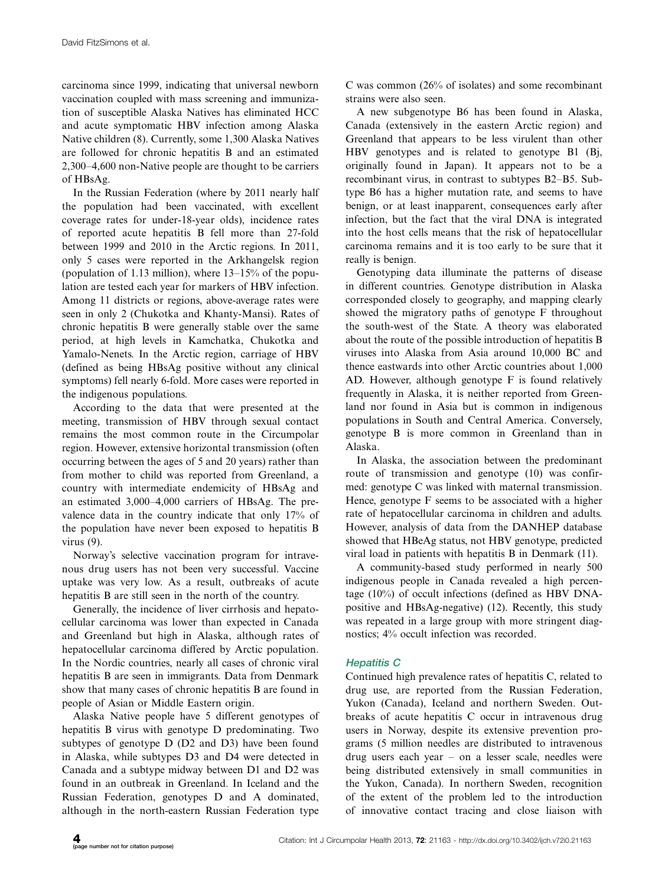carcinoma since 1999, indicating that universal newborn vaccination coupled with mass screening and immunization of susceptible Alaska Natives has eliminated HCC and acute symptomatic HBV infection among Alaska Native children (8). Currently, some 1,300 Alaska Natives are followed for chronic hepatitis B and an estimated 2,300-4,600 non-Native people are thought to be carriers of HBsAg.

In the Russian Federation (where by 2011 nearly half the population had been vaccinated, with excellent coverage rates for under-18-year olds), incidence rates of reported acute hepatitis B fell more than 27-fold between 1999 and 2010 in the Arctic regions. In 2011, only 5 cases were reported in the Arkhangelsk region (population of 1.13 million), where 13-15% of the population are tested each year for markers of HBV infection. Among 11 districts or regions, above-average rates were seen in only 2 (Chukotka and Khanty-Mansi). Rates of chronic hepatitis B were generally stable over the same period, at high levels in Kamchatka, Chukotka and Yamalo-Nenets. In the Arctic region, carriage of HBV (defined as being HBsAg positive without any clinical symptoms) fell nearly 6-fold. More cases were reported in the indigenous populations.

According to the data that were presented at the meeting, transmission of HBV through sexual contact remains the most common route in the Circumpolar region. However, extensive horizontal transmission (often occurring between the ages of 5 and 20 years) rather than from mother to child was reported from Greenland, a country with intermediate endemicity of HBsAg and an estimated 3,000-4,000 carriers of HBsAg. The prevalence data in the country indicate that only 17% of the population have never been exposed to hepatitis B virus (9).

Norway's selective vaccination program for intravenous drug users has not been very successful. Vaccine uptake was very low. As a result, outbreaks of acute hepatitis B are still seen in the north of the country.

Generally, the incidence of liver cirrhosis and hepatocellular carcinoma was lower than expected in Canada and Greenland but high in Alaska, although rates of hepatocellular carcinoma differed by Arctic population. In the Nordic countries, nearly all cases of chronic viral hepatitis B are seen in immigrants. Data from Denmark show that many cases of chronic hepatitis B are found in people of Asian or Middle Eastern origin.

Alaska Native people have 5 different genotypes of hepatitis B virus with genotype D predominating. Two subtypes of genotype D (D2 and D3) have been found in Alaska, while subtypes D3 and D4 were detected in Canada and a subtype midway between D1 and D2 was found in an outbreak in Greenland. In Iceland and the Russian Federation, genotypes D and A dominated, although in the north-eastern Russian Federation type

C was common (26% of isolates) and some recombinant strains were also seen.

A new subgenotype B6 has been found in Alaska, Canada (extensively in the eastern Arctic region) and Greenland that appears to be less virulent than other HBV genotypes and is related to genotype B1 (Bj, originally found in Japan). It appears not to be a recombinant virus, in contrast to subtypes B2-B5. Subtype B6 has a higher mutation rate, and seems to have benign, or at least inapparent, consequences early after infection, but the fact that the viral DNA is integrated into the host cells means that the risk of hepatocellular carcinoma remains and it is too early to be sure that it really is benign.

Genotyping data illuminate the patterns of disease in different countries. Genotype distribution in Alaska corresponded closely to geography, and mapping clearly showed the migratory paths of genotype F throughout the south-west of the State. A theory was elaborated about the route of the possible introduction of hepatitis B viruses into Alaska from Asia around 10,000 BC and thence eastwards into other Arctic countries about 1,000 AD. However, although genotype F is found relatively frequently in Alaska, it is neither reported from Greenland nor found in Asia but is common in indigenous populations in South and Central America. Conversely, genotype B is more common in Greenland than in Alaska.

In Alaska, the association between the predominant route of transmission and genotype (10) was confirmed: genotype C was linked with maternal transmission. Hence, genotype F seems to be associated with a higher rate of hepatocellular carcinoma in children and adults. However, analysis of data from the DANHEP database showed that HBeAg status, not HBV genotype, predicted viral load in patients with hepatitis B in Denmark (11).

A community-based study performed in nearly 500 indigenous people in Canada revealed a high percentage (10%) of occult infections (defined as HBV DNApositive and HBsAg-negative) (12). Recently, this study was repeated in a large group with more stringent diagnostics; 4% occult infection was recorded.

# Hepatitis C

Continued high prevalence rates of hepatitis C, related to drug use, are reported from the Russian Federation, Yukon (Canada), Iceland and northern Sweden. Outbreaks of acute hepatitis C occur in intravenous drug users in Norway, despite its extensive prevention programs (5 million needles are distributed to intravenous drug users each year - on a lesser scale, needles were being distributed extensively in small communities in the Yukon, Canada). In northern Sweden, recognition of the extent of the problem led to the introduction of innovative contact tracing and close liaison with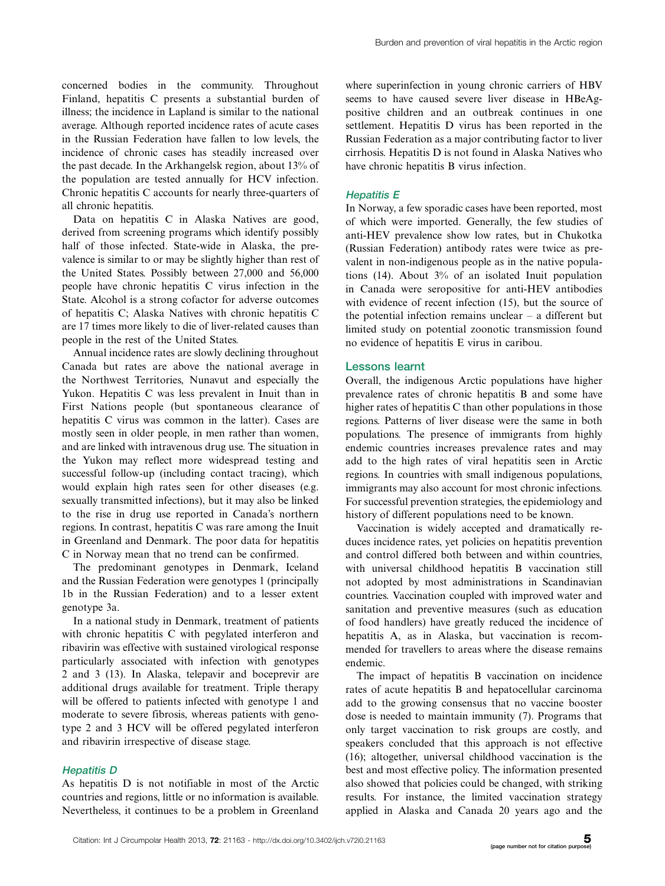concerned bodies in the community. Throughout Finland, hepatitis C presents a substantial burden of illness; the incidence in Lapland is similar to the national average. Although reported incidence rates of acute cases in the Russian Federation have fallen to low levels, the incidence of chronic cases has steadily increased over the past decade. In the Arkhangelsk region, about 13% of the population are tested annually for HCV infection. Chronic hepatitis C accounts for nearly three-quarters of all chronic hepatitis.

Data on hepatitis C in Alaska Natives are good, derived from screening programs which identify possibly half of those infected. State-wide in Alaska, the prevalence is similar to or may be slightly higher than rest of the United States. Possibly between 27,000 and 56,000 people have chronic hepatitis C virus infection in the State. Alcohol is a strong cofactor for adverse outcomes of hepatitis C; Alaska Natives with chronic hepatitis C are 17 times more likely to die of liver-related causes than people in the rest of the United States.

Annual incidence rates are slowly declining throughout Canada but rates are above the national average in the Northwest Territories, Nunavut and especially the Yukon. Hepatitis C was less prevalent in Inuit than in First Nations people (but spontaneous clearance of hepatitis C virus was common in the latter). Cases are mostly seen in older people, in men rather than women, and are linked with intravenous drug use. The situation in the Yukon may reflect more widespread testing and successful follow-up (including contact tracing), which would explain high rates seen for other diseases (e.g. sexually transmitted infections), but it may also be linked to the rise in drug use reported in Canada's northern regions. In contrast, hepatitis C was rare among the Inuit in Greenland and Denmark. The poor data for hepatitis C in Norway mean that no trend can be confirmed.

The predominant genotypes in Denmark, Iceland and the Russian Federation were genotypes 1 (principally 1b in the Russian Federation) and to a lesser extent genotype 3a.

In a national study in Denmark, treatment of patients with chronic hepatitis C with pegylated interferon and ribavirin was effective with sustained virological response particularly associated with infection with genotypes 2 and 3 (13). In Alaska, telepavir and boceprevir are additional drugs available for treatment. Triple therapy will be offered to patients infected with genotype 1 and moderate to severe fibrosis, whereas patients with genotype 2 and 3 HCV will be offered pegylated interferon and ribavirin irrespective of disease stage.

### Hepatitis D

As hepatitis D is not notifiable in most of the Arctic countries and regions, little or no information is available. Nevertheless, it continues to be a problem in Greenland

where superinfection in young chronic carriers of HBV seems to have caused severe liver disease in HBeAgpositive children and an outbreak continues in one settlement. Hepatitis D virus has been reported in the Russian Federation as a major contributing factor to liver cirrhosis. Hepatitis D is not found in Alaska Natives who have chronic hepatitis B virus infection.

### Hepatitis E

In Norway, a few sporadic cases have been reported, most of which were imported. Generally, the few studies of anti-HEV prevalence show low rates, but in Chukotka (Russian Federation) antibody rates were twice as prevalent in non-indigenous people as in the native populations (14). About 3% of an isolated Inuit population in Canada were seropositive for anti-HEV antibodies with evidence of recent infection (15), but the source of the potential infection remains unclear - a different but limited study on potential zoonotic transmission found no evidence of hepatitis E virus in caribou.

### Lessons learnt

Overall, the indigenous Arctic populations have higher prevalence rates of chronic hepatitis B and some have higher rates of hepatitis C than other populations in those regions. Patterns of liver disease were the same in both populations. The presence of immigrants from highly endemic countries increases prevalence rates and may add to the high rates of viral hepatitis seen in Arctic regions. In countries with small indigenous populations, immigrants may also account for most chronic infections. For successful prevention strategies, the epidemiology and history of different populations need to be known.

Vaccination is widely accepted and dramatically reduces incidence rates, yet policies on hepatitis prevention and control differed both between and within countries, with universal childhood hepatitis B vaccination still not adopted by most administrations in Scandinavian countries. Vaccination coupled with improved water and sanitation and preventive measures (such as education of food handlers) have greatly reduced the incidence of hepatitis A, as in Alaska, but vaccination is recommended for travellers to areas where the disease remains endemic.

The impact of hepatitis B vaccination on incidence rates of acute hepatitis B and hepatocellular carcinoma add to the growing consensus that no vaccine booster dose is needed to maintain immunity (7). Programs that only target vaccination to risk groups are costly, and speakers concluded that this approach is not effective (16); altogether, universal childhood vaccination is the best and most effective policy. The information presented also showed that policies could be changed, with striking results. For instance, the limited vaccination strategy applied in Alaska and Canada 20 years ago and the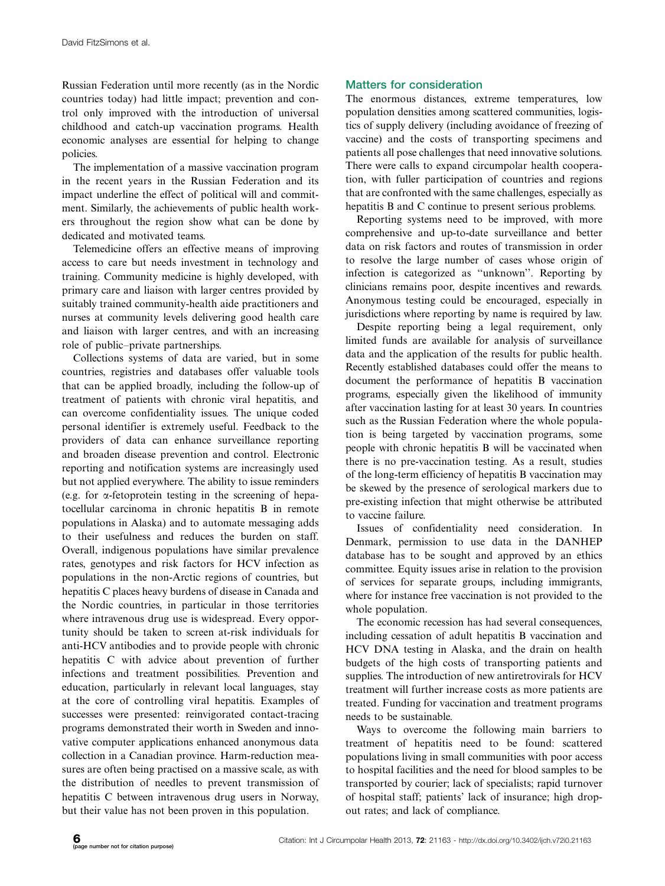Russian Federation until more recently (as in the Nordic countries today) had little impact; prevention and control only improved with the introduction of universal childhood and catch-up vaccination programs. Health economic analyses are essential for helping to change policies.

The implementation of a massive vaccination program in the recent years in the Russian Federation and its impact underline the effect of political will and commitment. Similarly, the achievements of public health workers throughout the region show what can be done by dedicated and motivated teams.

Telemedicine offers an effective means of improving access to care but needs investment in technology and training. Community medicine is highly developed, with primary care and liaison with larger centres provided by suitably trained community-health aide practitioners and nurses at community levels delivering good health care and liaison with larger centres, and with an increasing role of public-private partnerships.

Collections systems of data are varied, but in some countries, registries and databases offer valuable tools that can be applied broadly, including the follow-up of treatment of patients with chronic viral hepatitis, and can overcome confidentiality issues. The unique coded personal identifier is extremely useful. Feedback to the providers of data can enhance surveillance reporting and broaden disease prevention and control. Electronic reporting and notification systems are increasingly used but not applied everywhere. The ability to issue reminders (e.g. for a-fetoprotein testing in the screening of hepatocellular carcinoma in chronic hepatitis B in remote populations in Alaska) and to automate messaging adds to their usefulness and reduces the burden on staff. Overall, indigenous populations have similar prevalence rates, genotypes and risk factors for HCV infection as populations in the non-Arctic regions of countries, but hepatitis C places heavy burdens of disease in Canada and the Nordic countries, in particular in those territories where intravenous drug use is widespread. Every opportunity should be taken to screen at-risk individuals for anti-HCV antibodies and to provide people with chronic hepatitis C with advice about prevention of further infections and treatment possibilities. Prevention and education, particularly in relevant local languages, stay at the core of controlling viral hepatitis. Examples of successes were presented: reinvigorated contact-tracing programs demonstrated their worth in Sweden and innovative computer applications enhanced anonymous data collection in a Canadian province. Harm-reduction measures are often being practised on a massive scale, as with the distribution of needles to prevent transmission of hepatitis C between intravenous drug users in Norway, but their value has not been proven in this population.

# Matters for consideration

The enormous distances, extreme temperatures, low population densities among scattered communities, logistics of supply delivery (including avoidance of freezing of vaccine) and the costs of transporting specimens and patients all pose challenges that need innovative solutions. There were calls to expand circumpolar health cooperation, with fuller participation of countries and regions that are confronted with the same challenges, especially as hepatitis B and C continue to present serious problems.

Reporting systems need to be improved, with more comprehensive and up-to-date surveillance and better data on risk factors and routes of transmission in order to resolve the large number of cases whose origin of infection is categorized as ''unknown''. Reporting by clinicians remains poor, despite incentives and rewards. Anonymous testing could be encouraged, especially in jurisdictions where reporting by name is required by law.

Despite reporting being a legal requirement, only limited funds are available for analysis of surveillance data and the application of the results for public health. Recently established databases could offer the means to document the performance of hepatitis B vaccination programs, especially given the likelihood of immunity after vaccination lasting for at least 30 years. In countries such as the Russian Federation where the whole population is being targeted by vaccination programs, some people with chronic hepatitis B will be vaccinated when there is no pre-vaccination testing. As a result, studies of the long-term efficiency of hepatitis B vaccination may be skewed by the presence of serological markers due to pre-existing infection that might otherwise be attributed to vaccine failure.

Issues of confidentiality need consideration. In Denmark, permission to use data in the DANHEP database has to be sought and approved by an ethics committee. Equity issues arise in relation to the provision of services for separate groups, including immigrants, where for instance free vaccination is not provided to the whole population.

The economic recession has had several consequences, including cessation of adult hepatitis B vaccination and HCV DNA testing in Alaska, and the drain on health budgets of the high costs of transporting patients and supplies. The introduction of new antiretrovirals for HCV treatment will further increase costs as more patients are treated. Funding for vaccination and treatment programs needs to be sustainable.

Ways to overcome the following main barriers to treatment of hepatitis need to be found: scattered populations living in small communities with poor access to hospital facilities and the need for blood samples to be transported by courier; lack of specialists; rapid turnover of hospital staff; patients' lack of insurance; high dropout rates; and lack of compliance.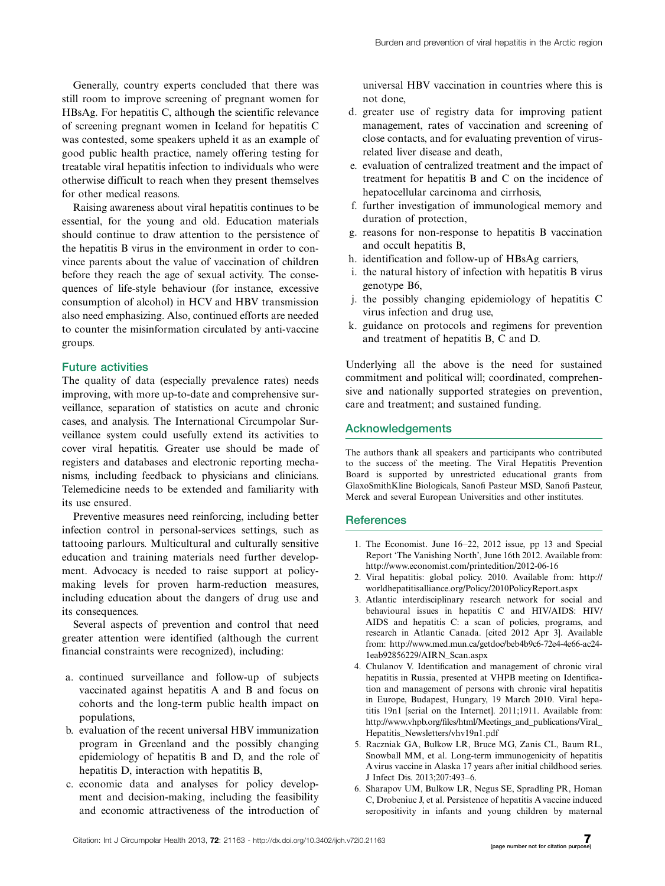Generally, country experts concluded that there was still room to improve screening of pregnant women for HBsAg. For hepatitis C, although the scientific relevance of screening pregnant women in Iceland for hepatitis C was contested, some speakers upheld it as an example of good public health practice, namely offering testing for treatable viral hepatitis infection to individuals who were otherwise difficult to reach when they present themselves for other medical reasons.

Raising awareness about viral hepatitis continues to be essential, for the young and old. Education materials should continue to draw attention to the persistence of the hepatitis B virus in the environment in order to convince parents about the value of vaccination of children before they reach the age of sexual activity. The consequences of life-style behaviour (for instance, excessive consumption of alcohol) in HCV and HBV transmission also need emphasizing. Also, continued efforts are needed to counter the misinformation circulated by anti-vaccine groups.

# Future activities

The quality of data (especially prevalence rates) needs improving, with more up-to-date and comprehensive surveillance, separation of statistics on acute and chronic cases, and analysis. The International Circumpolar Surveillance system could usefully extend its activities to cover viral hepatitis. Greater use should be made of registers and databases and electronic reporting mechanisms, including feedback to physicians and clinicians. Telemedicine needs to be extended and familiarity with its use ensured.

Preventive measures need reinforcing, including better infection control in personal-services settings, such as tattooing parlours. Multicultural and culturally sensitive education and training materials need further development. Advocacy is needed to raise support at policymaking levels for proven harm-reduction measures, including education about the dangers of drug use and its consequences.

Several aspects of prevention and control that need greater attention were identified (although the current financial constraints were recognized), including:

- a. continued surveillance and follow-up of subjects vaccinated against hepatitis A and B and focus on cohorts and the long-term public health impact on populations,
- b. evaluation of the recent universal HBV immunization program in Greenland and the possibly changing epidemiology of hepatitis B and D, and the role of hepatitis D, interaction with hepatitis B,
- c. economic data and analyses for policy development and decision-making, including the feasibility and economic attractiveness of the introduction of

universal HBV vaccination in countries where this is not done,

- d. greater use of registry data for improving patient management, rates of vaccination and screening of close contacts, and for evaluating prevention of virusrelated liver disease and death,
- e. evaluation of centralized treatment and the impact of treatment for hepatitis B and C on the incidence of hepatocellular carcinoma and cirrhosis,
- f. further investigation of immunological memory and duration of protection,
- g. reasons for non-response to hepatitis B vaccination and occult hepatitis B,
- h. identification and follow-up of HBsAg carriers,
- i. the natural history of infection with hepatitis B virus genotype B6,
- j. the possibly changing epidemiology of hepatitis C virus infection and drug use,
- k. guidance on protocols and regimens for prevention and treatment of hepatitis B, C and D.

Underlying all the above is the need for sustained commitment and political will; coordinated, comprehensive and nationally supported strategies on prevention, care and treatment; and sustained funding.

# Acknowledgements

The authors thank all speakers and participants who contributed to the success of the meeting. The Viral Hepatitis Prevention Board is supported by unrestricted educational grants from GlaxoSmithKline Biologicals, Sanofi Pasteur MSD, Sanofi Pasteur, Merck and several European Universities and other institutes.

### **References**

- 1. The Economist. June 16-22, 2012 issue, pp 13 and Special Report 'The Vanishing North', June 16th 2012. Available from: <http://www.economist.com/printedition/2012-06-16>
- 2. Viral hepatitis: global policy. 2010. Available from: [http://](http://worldhepatitisalliance.org/Policy/2010PolicyReport.aspx) [worldhepatitisalliance.org/Policy/2010PolicyReport.aspx](http://worldhepatitisalliance.org/Policy/2010PolicyReport.aspx)
- 3. Atlantic interdisciplinary research network for social and behavioural issues in hepatitis C and HIV/AIDS: HIV/ AIDS and hepatitis C: a scan of policies, programs, and research in Atlantic Canada. [cited 2012 Apr 3]. Available from: [http://www.med.mun.ca/getdoc/beb4b9c6-72e4-4e66-ac24-](http://www.med.mun.ca/getdoc/beb4b9c6-72e4-4e66-ac24-1eab92856229/AIRN_Scan.aspx) [1eab92856229/AIRN\\_Scan.aspx](http://www.med.mun.ca/getdoc/beb4b9c6-72e4-4e66-ac24-1eab92856229/AIRN_Scan.aspx)
- 4. Chulanov V. Identification and management of chronic viral hepatitis in Russia, presented at VHPB meeting on Identification and management of persons with chronic viral hepatitis in Europe, Budapest, Hungary, 19 March 2010. Viral hepatitis 19n1 [serial on the Internet]. 2011;1911. Available from: [http://www.vhpb.org/files/html/Meetings\\_and\\_publications/Viral\\_](http://www.vhpb.org/files/html/Meetings_and_publications/Viral_Hepatitis_Newsletters/vhv19n1.pdf) [Hepatitis\\_Newsletters/vhv19n1.pdf](http://www.vhpb.org/files/html/Meetings_and_publications/Viral_Hepatitis_Newsletters/vhv19n1.pdf)
- 5. Raczniak GA, Bulkow LR, Bruce MG, Zanis CL, Baum RL, Snowball MM, et al. Long-term immunogenicity of hepatitis A virus vaccine in Alaska 17 years after initial childhood series. J Infect Dis. 2013;207:493-6.
- 6. Sharapov UM, Bulkow LR, Negus SE, Spradling PR, Homan C, Drobeniuc J, et al. Persistence of hepatitis A vaccine induced seropositivity in infants and young children by maternal